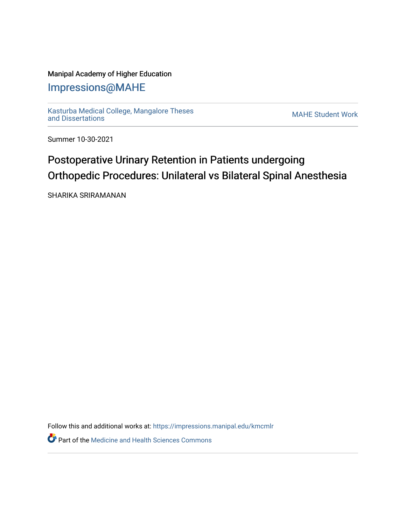## Manipal Academy of Higher Education

# [Impressions@MAHE](https://impressions.manipal.edu/)

[Kasturba Medical College, Mangalore Theses](https://impressions.manipal.edu/kmcmlr) [and Dissertations](https://impressions.manipal.edu/kmcmlr) [MAHE Student Work](https://impressions.manipal.edu/student-work) 

Summer 10-30-2021

# Postoperative Urinary Retention in Patients undergoing Orthopedic Procedures: Unilateral vs Bilateral Spinal Anesthesia

SHARIKA SRIRAMANAN

Follow this and additional works at: [https://impressions.manipal.edu/kmcmlr](https://impressions.manipal.edu/kmcmlr?utm_source=impressions.manipal.edu%2Fkmcmlr%2F255&utm_medium=PDF&utm_campaign=PDFCoverPages) 

**Part of the Medicine and Health Sciences Commons**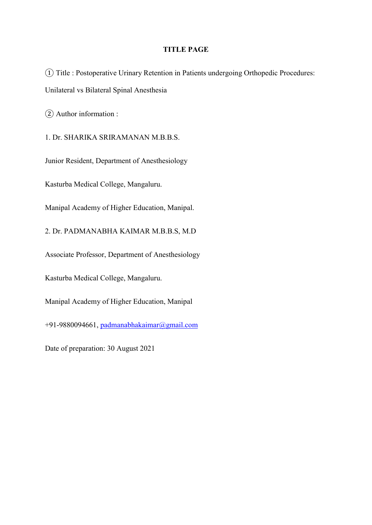### TITLE PAGE

① Title : Postoperative Urinary Retention in Patients undergoing Orthopedic Procedures: Unilateral vs Bilateral Spinal Anesthesia

② Author information :

1. Dr. SHARIKA SRIRAMANAN M.B.B.S.

Junior Resident, Department of Anesthesiology

Kasturba Medical College, Mangaluru.

Manipal Academy of Higher Education, Manipal.

2. Dr. PADMANABHA KAIMAR M.B.B.S, M.D

Associate Professor, Department of Anesthesiology

Kasturba Medical College, Mangaluru.

Manipal Academy of Higher Education, Manipal

+91-9880094661, padmanabhakaimar@gmail.com

Date of preparation: 30 August 2021